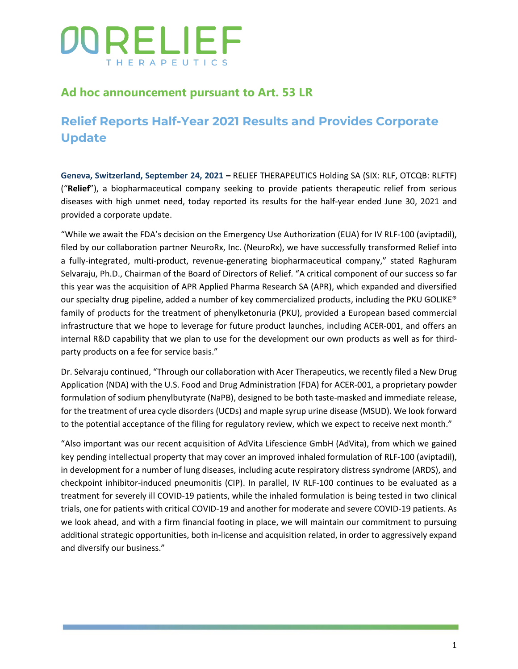## **Ad hoc announcement pursuant to Art. 53 LR**

## **Relief Reports Half-Year 2021 Results and Provides Corporate Update**

**Geneva, Switzerland, September 24, 2021 –** RELIEF THERAPEUTICS Holding SA (SIX: RLF, OTCQB: RLFTF) ("**Relief**"), a biopharmaceutical company seeking to provide patients therapeutic relief from serious diseases with high unmet need, today reported its results for the half-year ended June 30, 2021 and provided a corporate update.

"While we await the FDA's decision on the Emergency Use Authorization (EUA) for IV RLF-100 (aviptadil), filed by our collaboration partner NeuroRx, Inc. (NeuroRx), we have successfully transformed Relief into a fully-integrated, multi-product, revenue-generating biopharmaceutical company," stated Raghuram Selvaraju, Ph.D., Chairman of the Board of Directors of Relief. "A critical component of our success so far this year was the acquisition of APR Applied Pharma Research SA (APR), which expanded and diversified our specialty drug pipeline, added a number of key commercialized products, including the PKU GOLIKE® family of products for the treatment of phenylketonuria (PKU), provided a European based commercial infrastructure that we hope to leverage for future product launches, including ACER-001, and offers an internal R&D capability that we plan to use for the development our own products as well as for thirdparty products on a fee for service basis."

Dr. Selvaraju continued, "Through our collaboration with Acer Therapeutics, we recently filed a New Drug Application (NDA) with the U.S. Food and Drug Administration (FDA) for ACER-001, a proprietary powder formulation of sodium phenylbutyrate (NaPB), designed to be both taste-masked and immediate release, for the treatment of urea cycle disorders (UCDs) and maple syrup urine disease (MSUD). We look forward to the potential acceptance of the filing for regulatory review, which we expect to receive next month."

"Also important was our recent acquisition of AdVita Lifescience GmbH (AdVita), from which we gained key pending intellectual property that may cover an improved inhaled formulation of RLF-100 (aviptadil), in development for a number of lung diseases, including acute respiratory distress syndrome (ARDS), and checkpoint inhibitor-induced pneumonitis (CIP). In parallel, IV RLF-100 continues to be evaluated as a treatment for severely ill COVID-19 patients, while the inhaled formulation is being tested in two clinical trials, one for patients with critical COVID-19 and another for moderate and severe COVID-19 patients. As we look ahead, and with a firm financial footing in place, we will maintain our commitment to pursuing additional strategic opportunities, both in-license and acquisition related, in order to aggressively expand and diversify our business."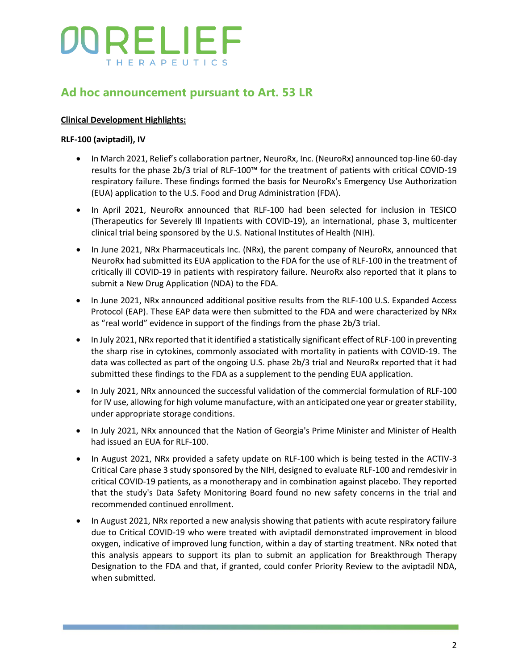## **Ad hoc announcement pursuant to Art. 53 LR**

### **Clinical Development Highlights:**

### **RLF-100 (aviptadil), IV**

- In March 2021, Relief's collaboration partner, NeuroRx, Inc. (NeuroRx) announced top-line 60-day results for the phase 2b/3 trial of RLF-100™ for the treatment of patients with critical COVID-19 respiratory failure. These findings formed the basis for NeuroRx's Emergency Use Authorization (EUA) application to the U.S. Food and Drug Administration (FDA).
- In April 2021, NeuroRx announced that RLF-100 had been selected for inclusion in TESICO (Therapeutics for Severely Ill Inpatients with COVID-19), an international, phase 3, multicenter clinical trial being sponsored by the U.S. National Institutes of Health (NIH).
- In June 2021, NRx Pharmaceuticals Inc. (NRx), the parent company of NeuroRx, announced that NeuroRx had submitted its EUA application to the FDA for the use of RLF-100 in the treatment of critically ill COVID-19 in patients with respiratory failure. NeuroRx also reported that it plans to submit a New Drug Application (NDA) to the FDA.
- In June 2021, NRx announced additional positive results from the RLF-100 U.S. Expanded Access Protocol (EAP). These EAP data were then submitted to the FDA and were characterized by NRx as "real world" evidence in support of the findings from the phase 2b/3 trial.
- In July 2021, NRx reported that it identified a statistically significant effect of RLF-100 in preventing the sharp rise in cytokines, commonly associated with mortality in patients with COVID-19. The data was collected as part of the ongoing U.S. phase 2b/3 trial and NeuroRx reported that it had submitted these findings to the FDA as a supplement to the pending EUA application.
- In July 2021, NRx announced the successful validation of the commercial formulation of RLF-100 for IV use, allowing for high volume manufacture, with an anticipated one year or greater stability, under appropriate storage conditions.
- In July 2021, NRx announced that the Nation of Georgia's Prime Minister and Minister of Health had issued an EUA for RLF-100.
- In August 2021, NRx provided a safety update on RLF-100 which is being tested in the ACTIV-3 Critical Care phase 3 study sponsored by the NIH, designed to evaluate RLF-100 and remdesivir in critical COVID-19 patients, as a monotherapy and in combination against placebo. They reported that the study's Data Safety Monitoring Board found no new safety concerns in the trial and recommended continued enrollment.
- In August 2021, NRx reported a new analysis showing that patients with acute respiratory failure due to Critical COVID-19 who were treated with aviptadil demonstrated improvement in blood oxygen, indicative of improved lung function, within a day of starting treatment. NRx noted that this analysis appears to support its plan to submit an application for Breakthrough Therapy Designation to the FDA and that, if granted, could confer Priority Review to the aviptadil NDA, when submitted.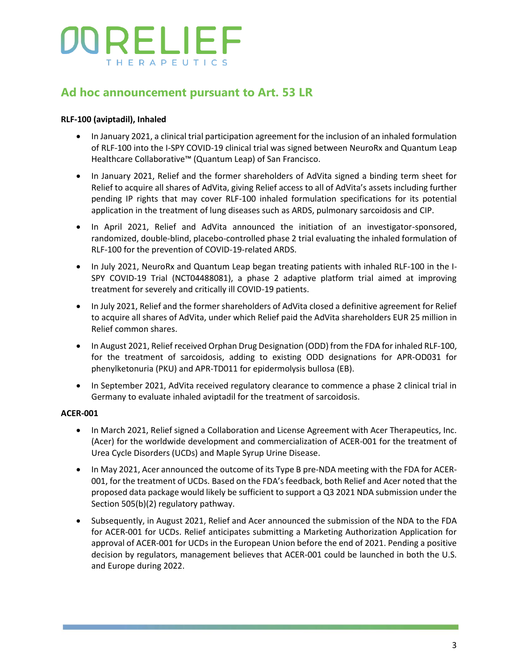## **Ad hoc announcement pursuant to Art. 53 LR**

### **RLF-100 (aviptadil), Inhaled**

- In January 2021, a clinical trial participation agreement for the inclusion of an inhaled formulation of RLF-100 into the I-SPY COVID-19 clinical trial was signed between NeuroRx and Quantum Leap Healthcare Collaborative™ (Quantum Leap) of San Francisco.
- In January 2021, Relief and the former shareholders of AdVita signed a binding term sheet for Relief to acquire all shares of AdVita, giving Relief access to all of AdVita's assets including further pending IP rights that may cover RLF-100 inhaled formulation specifications for its potential application in the treatment of lung diseases such as ARDS, pulmonary sarcoidosis and CIP.
- In April 2021, Relief and AdVita announced the initiation of an investigator-sponsored, randomized, double-blind, placebo-controlled phase 2 trial evaluating the inhaled formulation of RLF-100 for the prevention of COVID-19-related ARDS.
- In July 2021, NeuroRx and Quantum Leap began treating patients with inhaled RLF-100 in the I-SPY COVID-19 Trial (NCT04488081), a phase 2 adaptive platform trial aimed at improving treatment for severely and critically ill COVID-19 patients.
- In July 2021, Relief and the former shareholders of AdVita closed a definitive agreement for Relief to acquire all shares of AdVita, under which Relief paid the AdVita shareholders EUR 25 million in Relief common shares.
- In August 2021, Relief received Orphan Drug Designation (ODD) from the FDA for inhaled RLF-100, for the treatment of sarcoidosis, adding to existing ODD designations for APR-OD031 for phenylketonuria (PKU) and APR-TD011 for epidermolysis bullosa (EB).
- In September 2021, AdVita received regulatory clearance to commence a phase 2 clinical trial in Germany to evaluate inhaled aviptadil for the treatment of sarcoidosis.

#### **ACER-001**

- In March 2021, Relief signed a Collaboration and License Agreement with Acer Therapeutics, Inc. (Acer) for the worldwide development and commercialization of ACER-001 for the treatment of Urea Cycle Disorders (UCDs) and Maple Syrup Urine Disease.
- In May 2021, Acer announced the outcome of its Type B pre-NDA meeting with the FDA for ACER-001, for the treatment of UCDs. Based on the FDA's feedback, both Relief and Acer noted that the proposed data package would likely be sufficient to support a Q3 2021 NDA submission under the Section 505(b)(2) regulatory pathway.
- Subsequently, in August 2021, Relief and Acer announced the submission of the NDA to the FDA for ACER-001 for UCDs. Relief anticipates submitting a Marketing Authorization Application for approval of ACER-001 for UCDs in the European Union before the end of 2021. Pending a positive decision by regulators, management believes that ACER-001 could be launched in both the U.S. and Europe during 2022.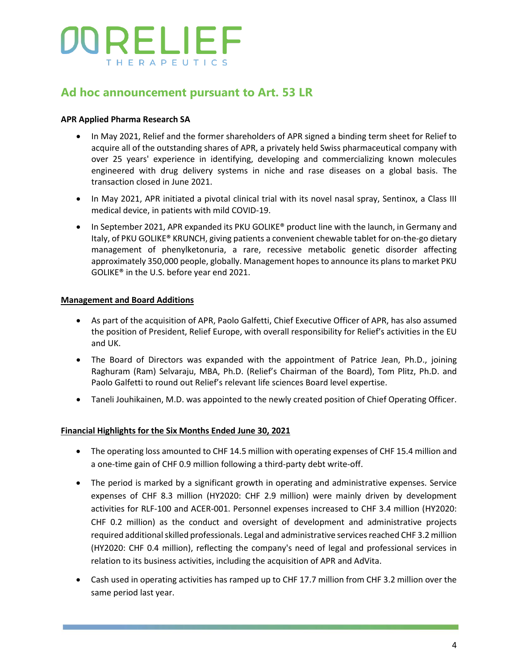## **Ad hoc announcement pursuant to Art. 53 LR**

### **APR Applied Pharma Research SA**

- In May 2021, Relief and the former shareholders of APR signed a binding term sheet for Relief to acquire all of the outstanding shares of APR, a privately held Swiss pharmaceutical company with over 25 years' experience in identifying, developing and commercializing known molecules engineered with drug delivery systems in niche and rase diseases on a global basis. The transaction closed in June 2021.
- In May 2021, APR initiated a pivotal clinical trial with its novel nasal spray, Sentinox, a Class III medical device, in patients with mild COVID-19.
- In September 2021, APR expanded its PKU GOLIKE® product line with the launch, in Germany and Italy, of PKU GOLIKE® KRUNCH, giving patients a convenient chewable tablet for on-the-go dietary management of phenylketonuria, a rare, recessive metabolic genetic disorder affecting approximately 350,000 people, globally. Management hopes to announce its plans to market PKU GOLIKE® in the U.S. before year end 2021.

#### **Management and Board Additions**

- As part of the acquisition of APR, Paolo Galfetti, Chief Executive Officer of APR, has also assumed the position of President, Relief Europe, with overall responsibility for Relief's activities in the EU and UK.
- The Board of Directors was expanded with the appointment of Patrice Jean, Ph.D., joining Raghuram (Ram) Selvaraju, MBA, Ph.D. (Relief's Chairman of the Board), Tom Plitz, Ph.D. and Paolo Galfetti to round out Relief's relevant life sciences Board level expertise.
- Taneli Jouhikainen, M.D. was appointed to the newly created position of Chief Operating Officer.

#### **Financial Highlights for the Six Months Ended June 30, 2021**

- The operating loss amounted to CHF 14.5 million with operating expenses of CHF 15.4 million and a one-time gain of CHF 0.9 million following a third-party debt write-off.
- The period is marked by a significant growth in operating and administrative expenses. Service expenses of CHF 8.3 million (HY2020: CHF 2.9 million) were mainly driven by development activities for RLF-100 and ACER-001. Personnel expenses increased to CHF 3.4 million (HY2020: CHF 0.2 million) as the conduct and oversight of development and administrative projects required additional skilled professionals. Legal and administrative services reached CHF 3.2 million (HY2020: CHF 0.4 million), reflecting the company's need of legal and professional services in relation to its business activities, including the acquisition of APR and AdVita.
- Cash used in operating activities has ramped up to CHF 17.7 million from CHF 3.2 million over the same period last year.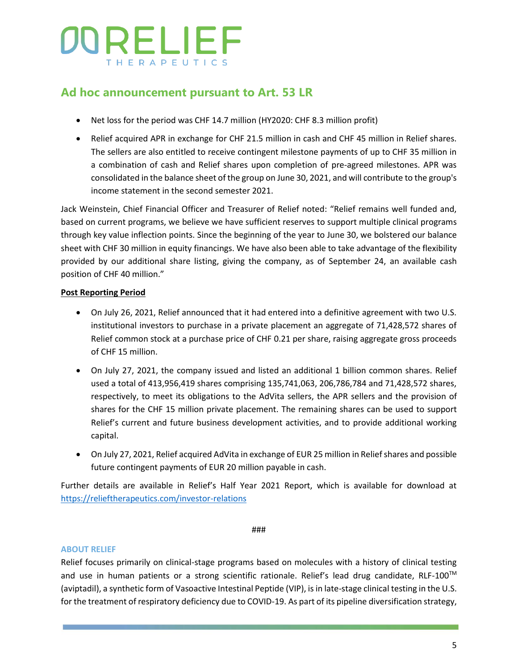## **Ad hoc announcement pursuant to Art. 53 LR**

- Net loss for the period was CHF 14.7 million (HY2020: CHF 8.3 million profit)
- Relief acquired APR in exchange for CHF 21.5 million in cash and CHF 45 million in Relief shares. The sellers are also entitled to receive contingent milestone payments of up to CHF 35 million in a combination of cash and Relief shares upon completion of pre-agreed milestones. APR was consolidated in the balance sheet of the group on June 30, 2021, and will contribute to the group's income statement in the second semester 2021.

Jack Weinstein, Chief Financial Officer and Treasurer of Relief noted: "Relief remains well funded and, based on current programs, we believe we have sufficient reserves to support multiple clinical programs through key value inflection points. Since the beginning of the year to June 30, we bolstered our balance sheet with CHF 30 million in equity financings. We have also been able to take advantage of the flexibility provided by our additional share listing, giving the company, as of September 24, an available cash position of CHF 40 million."

### **Post Reporting Period**

- On July 26, 2021, Relief announced that it had entered into a definitive agreement with two U.S. institutional investors to purchase in a private placement an aggregate of 71,428,572 shares of Relief common stock at a purchase price of CHF 0.21 per share, raising aggregate gross proceeds of CHF 15 million.
- On July 27, 2021, the company issued and listed an additional 1 billion common shares. Relief used a total of 413,956,419 shares comprising 135,741,063, 206,786,784 and 71,428,572 shares, respectively, to meet its obligations to the AdVita sellers, the APR sellers and the provision of shares for the CHF 15 million private placement. The remaining shares can be used to support Relief's current and future business development activities, and to provide additional working capital.
- On July 27, 2021, Relief acquired AdVita in exchange of EUR 25 million in Relief shares and possible future contingent payments of EUR 20 million payable in cash.

Further details are available in Relief's Half Year 2021 Report, which is available for download at <https://relieftherapeutics.com/investor-relations>

###

#### **ABOUT RELIEF**

Relief focuses primarily on clinical-stage programs based on molecules with a history of clinical testing and use in human patients or a strong scientific rationale. Relief's lead drug candidate, RLF-100<sup>™</sup> (aviptadil), a synthetic form of Vasoactive Intestinal Peptide (VIP), is in late-stage clinical testing in the U.S. for the treatment of respiratory deficiency due to COVID-19. As part of its pipeline diversification strategy,